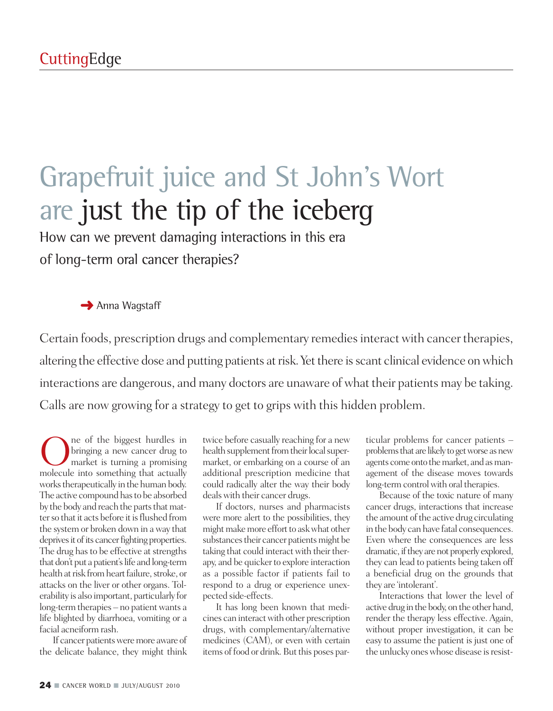# Grapefruit juice and St John's Wort are just the tip of the iceberg

How can we prevent damaging interactions in this era of long-term oral cancer therapies?

#### **→** Anna Wagstaff

Certain foods, prescription drugs and complementary remedies interact with cancer therapies, altering the effective dose and putting patients at risk. Yet there is scant clinical evidence on which interactions are dangerous, and many doctors are unaware of what their patients may be taking. Calls are now growing for a strategy to get to grips with this hidden problem.

One of the biggest hurdles in<br>bringing a new cancer drug to<br>market is turning a promising<br>molecule into something that actually bringing a new cancer drug to market is turning a promising molecule into something that actually works therapeutically in the human body. The active compound has to be absorbed by the body and reach the parts that matter so that it acts before it is flushed from the system or broken down in away that deprives it of its cancer fighting properties. The drug has to be effective at strengths that don't put a patient's life and long-term health at risk from heart failure, stroke, or attacks on the liver or other organs. Tolerability is also important, particularly for long-term therapies – no patient wants a life blighted by diarrhoea, vomiting or a facial acneiform rash.

If cancer patients were more aware of the delicate balance, they might think

twice before casually reaching for a new health supplement from their local supermarket, or embarking on a course of an additional prescription medicine that could radically alter the way their body dealswith their cancer drugs.

If doctors, nurses and pharmacists were more alert to the possibilities, they might make more effort to ask what other substances their cancer patients might be taking that could interact with their therapy, and be quicker to explore interaction as a possible factor if patients fail to respond to a drug or experience unexpected side-effects.

It has long been known that medicines can interactwith other prescription drugs, with complementary/alternative medicines (CAM), or even with certain items of food or drink. But this poses par-

ticular problems for cancer patients – problems that are likely to get worse as new agents come onto the market, and as management of the disease moves towards long-term control with oral therapies.

Because of the toxic nature of many cancer drugs, interactions that increase the amount of the active drug circulating in the body can have fatal consequences. Even where the consequences are less dramatic, if they are not properly explored, they can lead to patients being taken off a beneficial drug on the grounds that they are 'intolerant'.

Interactions that lower the level of active drug in the body, on the other hand, render the therapy less effective. Again, without proper investigation, it can be easy to assume the patient is just one of the unlucky ones whose disease is resist-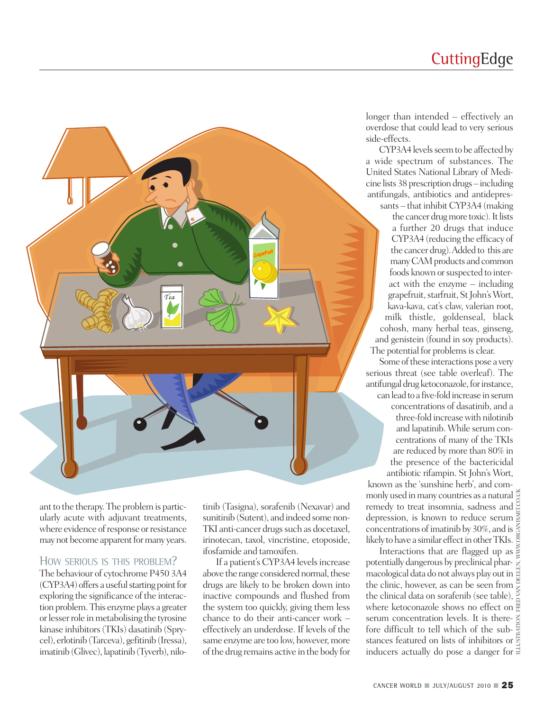### **CuttingEdge**



ant to the therapy. The problem is particularly acute with adjuvant treatments, where evidence of response or resistance may not become apparent for many years.

#### HOW SERIOUS IS THIS PROBLEM?

The behaviour of cytochrome P450 3A4  $(CYP3A4)$  offers a useful starting point for exploring the significance of the interaction problem. This enzyme plays a greater or lesser role in metabolising the tyrosine kinase inhibitors(TKIs) dasatinib (Sprycel), erlotinib (Tarceva), gefitinib(Iressa), imatinib (Glivec), lapatinib (Tyverb), nilotinib (Tasigna), sorafenib (Nexavar) and sunitinib (Sutent), and indeed some non-TKI anti-cancer drugs such as docetaxel, irinotecan, taxol, vincristine, etoposide, ifosfamide and tamoxifen.

If a patient's CYP3A4 levels increase above the range considered normal, these drugs are likely to be broken down into inactive compounds and flushed from the system too quickly, giving them less chance to do their anti-cancer work – effectively an underdose. If levels of the same enzyme are too low, however, more of the drug remains active in the body for longer than intended – effectively an overdose that could lead to very serious side-effects.

CYP3A4 levels seem to be affected by a wide spectrum of substances. The United States National Library of Medicine lists 38 prescriptiondrugs – including antifungals, antibiotics and antidepres-

sants – that inhibit CYP3A4 (making the cancer drug more toxic). It lists a further 20 drugs that induce CYP3A4 (reducing the efficacy of the cancer drug).Added to this are many CAM products and common foods known or suspected to interact with the enzyme – including grapefruit, starfruit, St John's Wort, kava-kava, cat's claw, valerian root, milk thistle, goldenseal, black cohosh, many herbal teas, ginseng, and genistein (found in soy products). The potential for problems is clear.

Some of these interactions pose a very serious threat (see table overleaf). The antifungal drug ketoconazole, for instance, can lead to a five-fold increase in serum concentrations of dasatinib, and a three-fold increasewith nilotinib and lapatinib. While serum concentrations of many of the TKIs are reduced by more than 80% in the presence of the bactericidal antibiotic rifampin. St John's Wort,

known as the 'sunshine herb', and commonly used inmany countries as a natural remedy to treat insomnia, sadness and depression, is known to reduce serum concentrations of imatinib by 30%, and is likely to have a similar effect in other TKIs.

ILLUSTRATION: FRED VAN DEELEN, WWW.ORGANISART.CO.UK Interactions that are flagged up as potentially dangerous by preclinical pharmacological data do not always play outin the clinic, however, as can be seen from the clinical data on sorafenib (see table), where ketoconazole shows no effect on serum concentration levels. It is therefore difficult to tell which of the substances featured on lists of inhibitors or inducers actually do pose a danger for  $\Xi$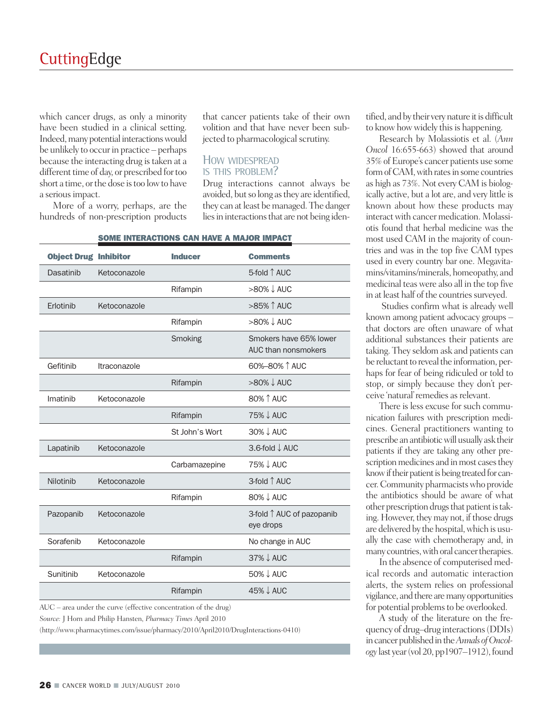which cancer drugs, as only a minority have been studied in a clinical setting. Indeed, many potential interactions would be unlikely to occur in practice – perhaps because the interacting drug is taken at a different time of day, or prescribed for too short a time, or the dose is too low to have a serious impact.

More of a worry, perhaps, are the hundreds of non-prescription products

that cancer patients take of their own volition and that have never been subjected to pharmacological scrutiny.

#### HOW WIDESPREAD IS THIS PROBLEM?

Drug interactions cannot always be avoided, but so long as they are identified, they can at least be managed. The danger lies in interactions that are not being iden-

| <b>Object Drug Inhibitor</b> |              | <b>Inducer</b> | <b>Comments</b>                               |
|------------------------------|--------------|----------------|-----------------------------------------------|
| Dasatinib                    | Ketoconazole |                | 5-fold ↑ AUC                                  |
|                              |              | Rifampin       | >80% ↓ AUC                                    |
| Erlotinib                    | Ketoconazole |                | >85% 1 AUC                                    |
|                              |              | Rifampin       | $>80\% \downarrow$ AUC                        |
|                              |              | Smoking        | Smokers have 65% lower<br>AUC than nonsmokers |
| Gefitinib                    | Itraconazole |                | 60%-80% 1 AUC                                 |
|                              |              | Rifampin       | $>80\% \downarrow$ AUC                        |
| Imatinib                     | Ketoconazole |                | 80% 1 AUC                                     |
|                              |              | Rifampin       | 75% ↓ AUC                                     |
|                              |              | St John's Wort | 30% ↓ AUC                                     |
| Lapatinib                    | Ketoconazole |                | 3.6-fold ↓ AUC                                |
|                              |              | Carbamazepine  | 75% J AUC                                     |
| Nilotinib                    | Ketoconazole |                | 3-fold ↑ AUC                                  |
|                              |              | Rifampin       | 80% ↓ AUC                                     |
| Pazopanib                    | Ketoconazole |                | 3-fold ↑ AUC of pazopanib<br>eye drops        |
| Sorafenib                    | Ketoconazole |                | No change in AUC                              |
|                              |              | Rifampin       | 37% ↓ AUC                                     |
| Sunitinib                    | Ketoconazole |                | 50% ↓ AUC                                     |
|                              |              | Rifampin       | 45% ↓ AUC                                     |

#### **SOME INTERACTIONS CAN HAVE A MAJOR IMPACT**

AUC – area under the curve (effective concentration of the drug)

*Source:* J Horn and Philip Hansten, *Pharmacy Times* April 2010

(http://www.pharmacytimes.com/issue/pharmacy/2010/April2010/DrugInteractions-0410)

tified, and by their very nature it is difficult to know how widely this is happening.

Research by Molassiotis et al. (*Ann Oncol* 16:655-663) showed that around 35% ofEurope's cancer patients use some form of CAM, with rates in some countries as high as 73%. Not every CAM is biologically active, but a lot are, and very little is known about how these products may interactwith cancer medication. Molassiotis found that herbal medicine was the most used CAM in the majority of countries and was in the top five CAM types used in every country bar one. Megavitamins/vitamins/minerals, homeopathy, and medicinal teas were also all in the top five in at least half of the countries surveyed.

Studies confirm what is already well known among patient advocacy groups – that doctors are often unaware of what additional substances their patients are taking. They seldom ask and patients can be reluctant to reveal the information, perhaps for fear of being ridiculed or told to stop, or simply because they don't perceive 'natural' remedies as relevant.

There is less excuse for such communication failures with prescription medicines. General practitioners wanting to prescribe an antibiotic will usually ask their patients if they are taking any other prescription medicines and in most cases they know if their patient is being treated for cancer.Community pharmacistswho provide the antibiotics should be aware of what other prescription drugs that patient is taking. However, they may not, if those drugs are delivered by the hospital, which is usually the case with chemotherapy and, in many countries, with oral cancer therapies.

In the absence of computerised medical records and automatic interaction alerts, the system relies on professional vigilance, and there are many opportunities for potential problems to be overlooked.

A study of the literature on the frequency of drug–drug interactions(DDIs) in cancer published in the Annals of Oncol*ogy*last year(vol20,pp1907–1912),found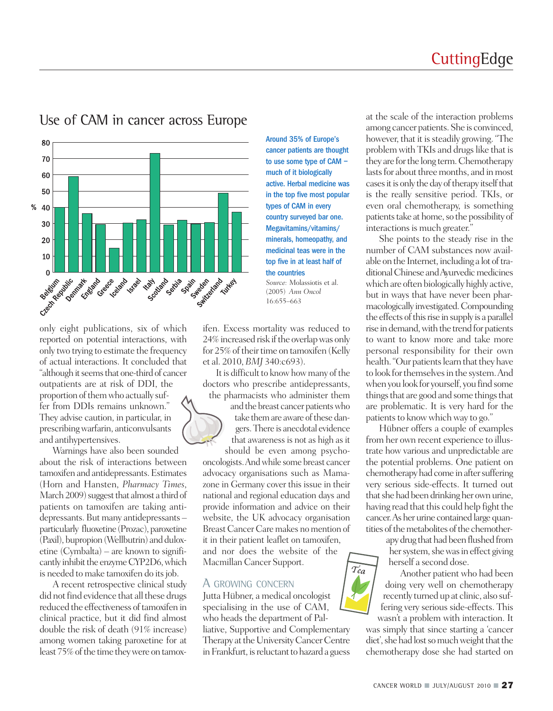

### Use of CAM in cancer across Europe

only eight publications, six of which reported on potential interactions, with only two trying to estimate the frequency of actual interactions. It concluded that "although it seems that one-third of cancer" outpatients are at risk of DDI, the proportion of them who actually suffer from DDIs remains unknown." They advise caution, in particular, in prescribingwarfarin, anticonvulsants and antihypertensives.

Warnings have also been sounded about the risk of interactions between tamoxifen and antidepressants.Estimates (Horn and Hansten, *Pharmacy Times*, March 2009) suggest that almost a third of patients on tamoxifen are taking antidepressants. But many antidepressants – particularly fluoxetine (Prozac), paroxetine (Paxil), bupropion(Wellbutrin) and duloxetine (Cymbalta) – are known to significantly inhibit the enzyme CYP2D6, which is needed to make tamoxifen do its job.

A recent retrospective clinical study did not find evidence that all these drugs reduced the effectiveness of tamoxifen in clinical practice, but it did find almost double the risk of death (91% increase) among women taking paroxetine for at least 75% of the time they were on tamoxAround 35% of Europe's cancer patients are thought to use some type of CAM – much of it biologically active. Herbal medicine was in the top five most popular types of CAM in every country surveyed bar one. Megavitamins/vitamins/ minerals, homeopathy, and medicinal teas were in the top five in at least half of the countries *Source:* Molassiotis et al.

(2005) *Ann Oncol* 16:655–663

ifen. Excess mortality was reduced to 24% increased risk if the overlap was only for 25% of their time on tamoxifen (Kelly et al. 2010, *BMJ* 340:c693).

It is difficult to know how many of the doctors who prescribe antidepressants, the pharmacists who administer them

> and the breast cancer patientswho take them are aware of these dangers.There is anecdotal evidence that awareness is not as high as it

should be even among psychooncologists.Andwhile some breast cancer advocacy organisations such as Mamazone in Germany cover this issue in their national and regional education days and provide information and advice on their website, the UK advocacy organisation Breast Cancer Care makes no mention of it in their patient leaflet on tamoxifen, and nor does the website of the Macmillan Cancer Support.  $T_{ea}$ 

#### A GROWING CONCERN

Jutta Hübner, a medical oncologist specialising in the use of CAM, who heads the department of Palliative, Supportive and Complementary Therapy at the University Cancer Centre in Frankfurt, is reluctant to hazard a guess

at the scale of the interaction problems among cancer patients.She is convinced, however, that it is steadily growing. "The problem with TKIs and drugs like that is they are forthe long term.Chemotherapy lasts for about three months, and in most cases it is only the day of therapy itself that is the really sensitive period. TKIs, or even oral chemotherapy, is something patients take at home, so the possibility of interactions is much greater."

She points to the steady rise in the number of CAM substances now available on the Internet, including a lot of traditional Chinese and Ayurvedic medicines which are often biologically highly active, but in ways that have never been pharmacologically investigated.Compounding the effects of this rise in supply is a parallel rise in demand, with the trend for patients to want to know more and take more personal responsibility for their own health. "Our patients learn that they have to look for themselves in the system. And when you look for yourself, you find some things that are good and some things that are problematic. It is very hard for the patients to know which way to go."

Hübner offers a couple of examples from her own recent experience to illustrate how various and unpredictable are the potential problems. One patient on chemotherapy had come in after suffering very serious side-effects. It turned out that she had been drinking her own urine, having read that this could help fight the cancer. As her urine contained large quantities of the metabolites of the chemother-

> apy drug that had been flushed from her system, she was in effect giving herself a second dose.

Another patient who had been doing very well on chemotherapy recently turnedup at clinic, also suffering very serious side-effects. This wasn't a problem with interaction. It

was simply that since starting a 'cancer diet', she had lost so much weight that the chemotherapy dose she had started on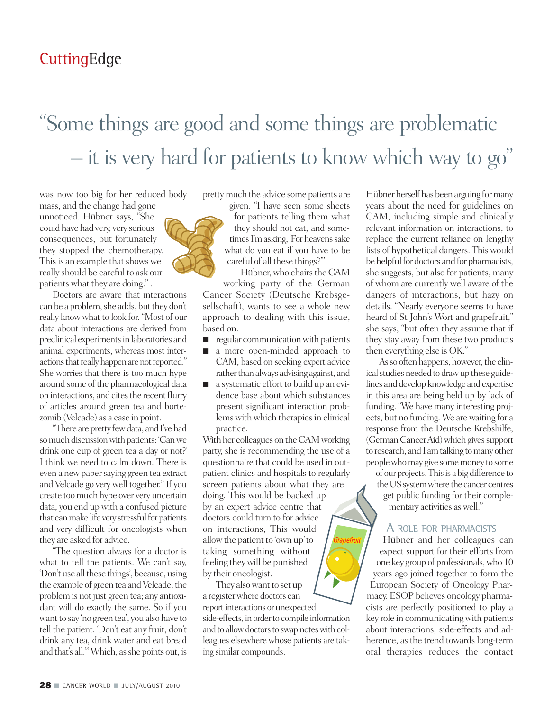## "Some things are good and some things are problematic – it is very hard for patients to know which way to go "

was now too big for her reduced body

mass, and the change had gone unnoticed. Hübner says, "She could have had very, very serious consequences, but fortunately they stopped the chemotherapy. This is an example that shows we really should be careful to ask our patients what they are doing.".

Doctors are aware that interactions can be a problem, she adds, but they don't really know what to look for. "Most of our data about interactions are derived from preclinical experiments in laboratories and animal experiments, whereas most interactions that really happen are not reported." She worries that there is too much hype around some of the pharmacological data on interactions, and cites the recent flurry of articles around green tea and bortezomib (Velcade) as a case in point.

"There are pretty few data, and I've had so much discussion with patients: 'Can we drink one cup of green tea a day or not?' I think we need to calm down. There is even a newpapersaying green tea extract and Velcade go very well together." If you create toomuch hype over very uncertain data, you end up with a confused picture that can make life very stressful for patients and very difficult for oncologists when they are asked for advice.

"The question always for a doctor is what to tell the patients. We can't say, 'Don't use all these things', because, using the example of green tea and Velcade, the problem is not just green tea; any antioxidant will do exactly the same. So if you want to say 'no green tea', you also have to tell the patient: 'Don't eat any fruit, don't drink any tea, drink water and eat bread and that's all.'"Which, asshe points out, is

prettymuch the advice some patients are

given. "I have seen some sheets for patients telling them what they should not eat, and sometimes I'm asking, 'For heavens sake what do you eat if you have to be careful of all these things?'"

Hübner, who chairs the CAM working party of the German Cancer Society (Deutsche Krebsgesellschaft), wants to see a whole new approach to dealing with this issue, based on:

- regular communication with patients
- a more open-minded approach to CAM, based on seeking expert advice rather than always advising against, and
- a systematic effort to build up an evidence base about which substances present significant interaction problems with which therapies in clinical practice.

With her colleagues on the CAM working party, she is recommending the use of a questionnaire that could be used in outpatient clinics and hospitals to regularly screen patients about what they are doing. This would be backed up by an expert advice centre that doctors could turn to for advice on interactions, This would allow the patient to 'own up' to taking something without feeling theywill be punished by their oncologist.

They also want to set up a registerwhere doctors can report interactions or unexpected side-effects, in order to compile information and to allow doctors to swap notes with colleagues elsewhere whose patients are taking similar compounds.

Hübner herself has been arguing for many years about the need for guidelines on CAM, including simple and clinically relevant information on interactions, to replace the current reliance on lengthy lists of hypothetical dangers. Thiswould be helpful for doctors and for pharmacists, she suggests, but also for patients, many of whom are currently well aware of the dangers of interactions, but hazy on details. "Nearly everyone seems to have heard of St John's Wort and grapefruit," she says, "but often they assume that if they stay away from these two products then everything else is OK."

As so often happens, however, the clinical studies needed to draw up these guidelines and develop knowledge and expertise in this area are being held up by lack of funding. "We have many interesting projects, but no funding. We are waiting for a response from the Deutsche Krebshilfe, (German Cancer Aid) which gives support to research, and I amtalking tomany other peoplewhomay give somemoney to some

of our projects. This is a big difference to the US system where the cancer centres get public funding for their complementary activities as well."

#### A ROLE FOR PHARMACISTS

Hübner and her colleagues can expect support for their efforts from one key groupof professionals,who 10 years ago joined together to form the European Society of Oncology Pharmacy. ESOP believes oncology pharmacists are perfectly positioned to play a key role in communicatingwith patients about interactions, side-effects and adherence, as the trend towards long-term oral therapies reduces the contact